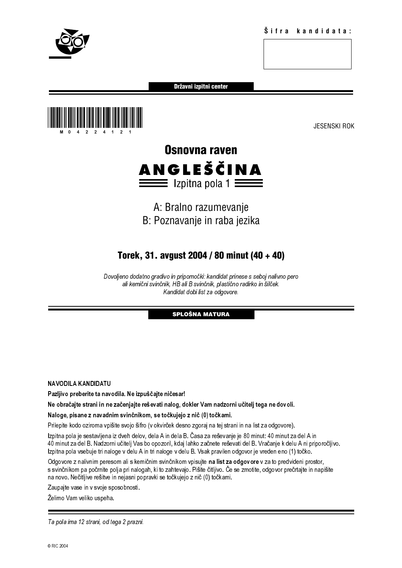

Državni izpitni center





# A: Bralno razumevanje B: Poznavanje in raba jezika

# Torek, 31. avgust 2004 / 80 minut (40 + 40)

Dovoljeno dodatno gradivo in pripomočki: kandidat prinese s seboj nalivno pero ali kemični svinčnik, HB ali B svinčnik, plastično radirko in šilček. Kandidat dobi list za odgovore.

# SPLOŠNA MATURA

NAVODILA KANDIDATU

Pazljivo preberite ta navodila. Ne izpuščajte ničesar!

Ne obračajte strani in ne začenjajte reševati nalog, dokler Vam nadzorni učitelj tega ne dovoli.

Naloge, pisane z navadnim svinčnikom, se točkujejo z nič (0) točkami.

Prilepite kodo oziroma vpišite svojo šifro (v okvirček desno zgoraj na tej strani in na list za odgovore).

on the internalistic state of the Ball B svinchik, plastic oradin to in stice it.<br>
Kandidat dobi ist za odgovore.<br>
SPLOSIVA MATURA<br>
SPLOSIVA MATURA<br>
SPLOSIVA MATURA<br>
Internalizion in the internalization and the state of t Kandidat dobi list za odgovore.<br> **SPLOŠNA MATURA**<br> **SPLOŠNA MATURA**<br> **a.** Ne izpuščajte ničesar!<br>
enjajte reševati nalog, dokler Vam nadzorni učitelj tega ne do<br>
svinčnikom, se točkujejo z nič (0) točkami.<br>
svojo šifro (v **SPLOŠNA MATURA**<br> **SPLOŠNA MATURA**<br>
ničesar!<br>
nalog, dokler Vam nadzorni<br>
irček desno zgoraj na tej strani<br>
irček desno zgoraj na tej strani<br>
in dela B. Časa za reševanje j<br>
oge v delu B. Vsak pravilen od<br>
vinčnikom vpisuj Izpitna pola je sestavljena iz dveh delov, dela A in dela B. Časa za reševanje je 80 minut: 40 minut za del A in 40 minut za del B. Nadzorni učitelj Vas bo opozoril, kdaj lahko začnete reševati del B. Vračanje k delu A ni priporočljivo. Izpitna pola vsebuje tri naloge v delu A in tri naloge v delu B. Vsak pravilen odgovor je vreden eno (1) točko.

Odgovore z nalivnim peresom ali s kemičnim svinčnikom vpisujte na list za odgovore v za to predvideni prostor, s svinčnikom pa počrnite polja pri nalogah, ki to zahtevajo. Pišite čitljivo. Če se zmotite, odgovor prečrtajte in napišite na novo. Nečitljive rešitve in nejasni popravki se točkujejo z nič (0) točkami.

Zaupajte vase in v svoje sposobnosti.

Želimo Vam veliko uspeha.

Ta pola ima 12 strani, od tega 2 prazni.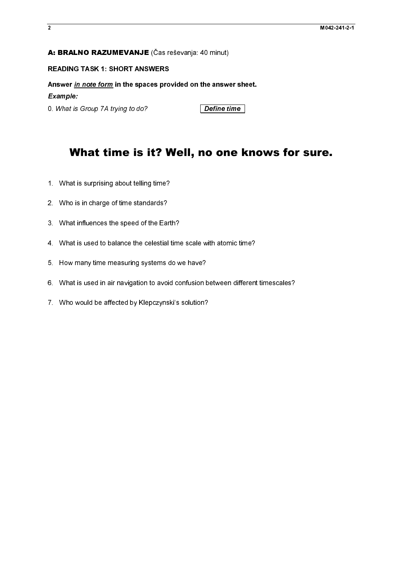# A: BRALNO RAZUMEVANJE (Čas reševanja: 40 minut)

**A: BRALNO RAZUMEVANJE** (Čas reševanja: 40 minut)<br>READING TASK 1: SHORT ANSWERS<br>Answer <u>In note form</u> in the spaces provided on the answer<br>Example:<br> $\mathcal{L}$  minute for the spaces provided on the answer<br>O. What is Group 7A Mark of *in note form* in the spaces pro<br>Example:<br>0. What is Group 7A trying to do?<br>**What time is it? V**<br>1. What is surprising about telling time?<br>2. Who is in charge of time standards?<br>3. What influences the speed of the Answer <u>in note form</u> in the spaces provided on the answer sheet.<br>Example:<br>
C. What is Group 7A trying to do?<br> **What time is it? Well, no one know**<br>
1. What is surprising about telling time?<br>
2. Who is in charge of time st Example:

# 0. What is Group 7A trying to do? **Define time**<br> **What time is it? Well, no one l**<br>
1. What is surprising about telling time?<br>
2. Who is in charge of time standards?<br>
3. What is used to balance the celestial time scale wit  $\frac{1}{2}$  in the set of  $\frac{1}{2}$  in the set of  $\frac{1}{2}$  in the set of  $\frac{1}{2}$  in the set of  $\frac{1}{2}$  in the set of  $\frac{1}{2}$  in the set of  $\frac{1}{2}$  in the set of  $\frac{1}{2}$  in the set of  $\frac{1}{2}$  in the set of  $\frac{1$  $\frac{1}{2}$  $\frac{1}{2}$  in the set of  $\frac{1}{2}$  in the set of  $\frac{1}{2}$  in the set of  $\frac{1}{2}$  in the set of  $\frac{1}{2}$  in the set of  $\frac{1}{2}$  in the set of  $\frac{1}{2}$  in the set of  $\frac{1}{2}$  in the set of  $\frac{1}{2}$  in the set of  $\frac{1$ What time is it? Well, no one knows for sure.

- 
- 
- 2. Who is in charge of time standards?<br>3. What influences the speed of the Eart<br>4. What is used to balance the celestial<br>5. How many time measuring systems d<br>6. What is used in air navigation to avoid<br>7. Who would be affec 3. What influences the speed of the Earth 4. What is used to balance the celestial<br>4. What is used to balance the celestial<br>5. How many time measuring systems<br>6. What is used in air navigation to avoid<br>7. Who would be affe
- 3. What is used to balance the celestial time<br>5. How many time measuring systems do w<br>6. What is used in air navigation to avoid co<br>7. Who would be affected by Klepczynski's
- 
- 4. What is used in air navigation to avoid confusion between different<br>4. What is used in air navigation to avoid confusion between different<br>4. Who would be affected by Klepczynski's solution? 5. What is used in air navigation to avoid confusion to avoid confusion to avoid confusion to avoid confusion to avoid confusion of  $\tau$ . Who would be affected by Klepczynski's solution?
- For the state in air navigation to avoid the confusion between different timescales.<br>7. Who would be affected by Klepczynski's solution? 7. Who would be affected by Klepczynski's solution?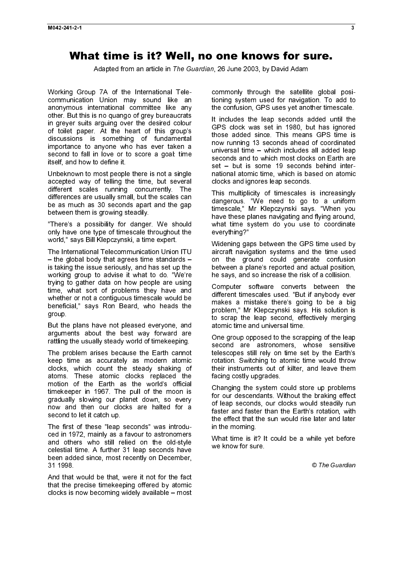# What time is it? Well, no one knows for sure.

Adapted from an article in The Guardian, 26 June 2003, by David Adam

Working Group 7A of the International Telecommunication Union may sound like an anonymous international committee like any other. But this is no quango of grey bureaucrats in greyer suits arguing over the desired colour of toilet paper. At the heart of this group's discussions is something of fundamental importance to anyone who has ever taken a second to fall in love or to score a goal: time itself, and how to define it.

Unbeknown to most people there is not a single accepted way of telling the time, but several different scales running concurrently. The differences are usually small, but the scales can be as much as 30 seconds apart and the gap between them is growing steadily.

"There's a possibility for danger. We should only have one type of timescale throughout the world," says Bill Klepczynski, a time expert.

The International Telecommunication Union ITU – the global body that agrees time standards – is taking the issue seriously, and has set up the working group to advise it what to do. "We're trying to gather data on how people are using time, what sort of problems they have and whether or not a contiguous timescale would be beneficial," says Ron Beard, who heads the group.

But the plans have not pleased everyone, and arguments about the best way forward are rattling the usually steady world of timekeeping.

The problem arises because the Earth cannot keep time as accurately as modern atomic clocks, which count the steady shaking of atoms. These atomic clocks replaced the motion of the Earth as the world's official timekeeper in 1967. The pull of the moon is gradually slowing our planet down, so every now and then our clocks are halted for a second to let it catch up.

The first of these "leap seconds" was introduced in 1972, mainly as a favour to astronomers and others who still relied on the old-style celestial time. A further 31 leap seconds have been added since, most recently on December, 31 1998.

And that would be that, were it not for the fact that the precise timekeeping offered by atomic clocks is now becoming widely available – most commonly through the satellite global positioning system used for navigation. To add to the confusion, GPS uses yet another timescale.

It includes the leap seconds added until the GPS clock was set in 1980, but has ignored those added since. This means GPS time is now running 13 seconds ahead of coordinated universal time – which includes all added leap seconds and to which most clocks on Earth are set – but is some 19 seconds behind international atomic time, which is based on atomic clocks and ignores leap seconds.

This multiplicity of timescales is increasingly dangerous. "We need to go to a uniform timescale," Mr Klepczynski says. "When you have these planes navigating and flying around, what time system do you use to coordinate everything?"

Widening gaps between the GPS time used by aircraft navigation systems and the time used on the ground could generate confusion between a plane's reported and actual position, he says, and so increase the risk of a collision.

Computer software converts between the different timescales used. "But if anybody ever makes a mistake there's going to be a big problem," Mr Klepczynski says. His solution is to scrap the leap second, effectively merging atomic time and universal time.

One group opposed to the scrapping of the leap second are astronomers, whose sensitive telescopes still rely on time set by the Earth's rotation. Switching to atomic time would throw their instruments out of kilter, and leave them facing costly upgrades.

Changing the system could store up problems for our descendants. Without the braking effect of leap seconds, our clocks would steadily run faster and faster than the Earth's rotation, with the effect that the sun would rise later and later in the morning.

What time is it? It could be a while yet before we know for sure.

© The Guardian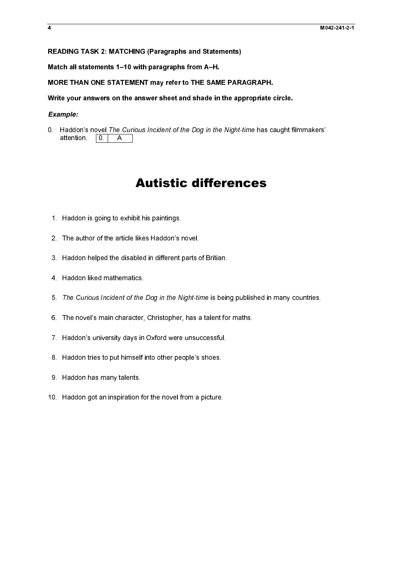# READING TASK 2: MATCHING (Paragraphs and Statements)

Match all statements 1–10 with paragraphs from A–H.

MORE THAN ONE STATEMENT may refer to THE SAME PARAGRAPH.

# Write your answers on the answer sheet and shade in the appropriate circle.

# *Example:*

0. Haddon's novel The Curious Incident of the Dog in the Night-time has caught filmmakers' **Autistic differences**<br>
1. Haddon is going to schild it is paintings.<br>
2. The author of the article likes Haddon's novel.<br>
3. Haddon helped the disabled in different parts of Britian.<br>
4. Haddon liked mathematics<br>
5. The C attention  $|0\rangle$  $\overline{A}$ 

# Autistic differences

- 1. Haddon is going to exhibit his paintings.
- 2. The author of the article likes Haddon's novel.
- 2. The author of the article likes Haddon's r<br>3. Haddon helped the disabled in different r<br>4. Haddon liked mathematics.<br>5. The Curious Incident of the Dog in the N<br>6. The novel's main character, Christopher,<br>7. Haddon's un 2. Haddon helped the disabled in different parts c<br>
2. Haddon liked mathematics.<br>
2. The Curious Incident of the Dog in the Night-tin<br>
3. The curious Incident of the Dog in the Night-tin<br>
3. The novel's main character, Chr 3. Haddon helped the disabled in different parts of Britian.
- 4. Haddon liked mathematics.
- 5. The Curious Incident of the Dog in the Night-time is being published in many countries.
- 4. Haddon liked mathematics.<br>5. The Curious Incident of the Dog in the Night-time is bein<br>6. The novel's main character, Christopher, has a talent for<br>7. Haddon's university days in Oxford were unsuccessful.<br>8. Haddon trie 5. The novels main character, Christopher, has a talent for maths.<br>
7. Haddon's university days in Oxford were unsuccessful.<br>
8. Haddon tries to put himself into other people's shoes.<br>
9. Haddon has many talents.<br>
10. Hadd 6. The novel's main character, Christopher, has a talent for maths.
- 7. Haddon's university days in Oxford were unsuccessful.<br>8. Haddon tries to put himself into other people's shoes.<br>9. Haddon has many talents.<br>10. Haddon got an inspiration for the novel from a picture. 7. Haddon's university days in Oxford were unsuccessful.
- 8. Haddon tries to put himself into other people's shoes.
- attention. 0. A<br>
1. Haddon is going to exhit<br>
2. The author of the article<br>
3. Haddon helped the disal<br>
4. Haddon liked mathemati<br>
5. The Curious Incident of<br>
6. The novel's main charac<br>
7. Haddon's university days<br>
8. Had 9 Haddon has many talents.
- 5. The Curious Incident of the<br>6. The novel's main character,<br>7. Haddon's university days in<br>8. Haddon tries to put himself i<br>9. Haddon has many talents.<br>10. Haddon got an inspiration fo 8. Haddon tries to put himself into other people's shoes.<br>9. Haddon has many talents.<br>10. Haddon got an inspiration for the novel from a picture. 9. Haddon has many talents.<br>10. Haddon got an inspiration for the novel from a picture. 9. Haddon got an inspiration for the many talents. 10. Haddon got an inspiration for the novel from a picture. 10. Haddon got an inspiration for the novel from a picture.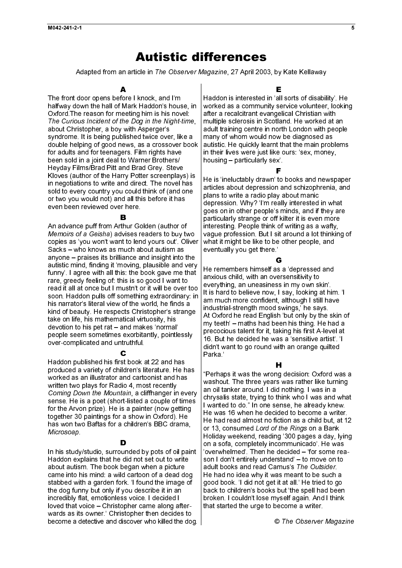# Autistic differences

Adapted from an article in The Observer Magazine, 27 April 2003, by Kate Kellaway

The front door opens before I knock, and I'm halfway down the hall of Mark Haddon's house, in Oxford.The reason for meeting him is his novel: The Curious Incident of the Dog in the Night-time, about Christopher, a boy with Asperger's syndrome. It is being published twice over, like a double helping of good news, as a crossover book for adults and for teenagers. Film rights have been sold in a joint deal to Warner Brothers/ Heyday Films/Brad Pitt and Brad Grey. Steve Kloves (author of the Harry Potter screenplays) is in negotiations to write and direct. The novel has sold to every country you could think of (and one or two you would not) and all this before it has even been reviewed over here.

# R

- for Miete whise ers to and r Both wist thus in its community of the strict of the whise which is in the whise the whise the whise the whise the whise the whise the whise in the strict of the strict of the strict of the s The Curious Incident of the Dog in the Night-time,<br>about Christopher, a boy with Asperger's<br>about Christopher, a boy with Asperger's<br>cyndrone. It is being published twice over, like a<br>double helping of good news, as a cro thivis truian on is: is on of the anti-lead of the still drawing in the still and is a still on the still on the still on the still on the still on the still on the still on the still on the still on the still on the still An advance puff from Arthur Golden (author of Memoirs of a Geisha) advises readers to buy two *Memoirs of a Geisha*) advises readers to buy two<br>copies as 'you won't want to lend yours out'. Olive<br>Sacks – who knows as much about autism as<br>anyone – praises its bifilliance and insight into the<br>autistic mind, finding copies as 'you won't want to lend yours out'. Oliver Sacks – who knows as much about autism as anyone – praises its brilliance and insight into the autistic mind, finding it 'moving, plausible and very funny'. I agree with all this: the book gave me that rare, greedy feeling of: this is so good I want to read it all at once but I mustn't or it will be over too soon. Haddon pulls off something extraordinary: in his narrator's literal view of the world, he finds a kind of beauty. He respects Christopher's strange take on life, his mathematical virtuosity, his devotion to his pet rat – and makes 'normal' people seem sometimes exorbitantly, pointlessly over-complicated and untruthful.

Haddon published his first book at 22 and has produced a variety of children's literature. He has worked as an illustrator and cartoonist and has written two plays for Radio 4, most recently Coming Down the Mountain, a cliffhanger in every sense. He is a poet (short-listed a couple of times for the Arvon prize). He is a painter (now getting together 30 paintings for a show in Oxford). He has won two Baftas for a children's BBC drama, Microsoap

- st ildr and tail is a is a is a in the discussional population of the state of the state of the state of the state of the state of the state of the state of the state of the state of the state of the state of the state Coming Down the Mountain, a cliffhanger in every<br>sense. He is a poet (short-listed a couple of times<br>for the Arvon prize). He is a painter (now getting<br>together 30 paintings for a show in Oxford). He<br>has won Baftas for a c Microsoap.<br>In his study,<br>Haddon exp<br>about autisr<br>came into h<br>stabbed wit<br>the dog funn<br>incredibly fla<br>loved that v<br>wards as its<br>become a d un dire<br>berid direr<br>ld crk<br>yo ss<br>oplistc<br>isc In his study/studio, surrounded by pots of oil paint Haddon explains that he did not set out to write about autism. The book began when a picture came into his mind: a wild cartoon of a dead dog stabbed with a garden fork. 'I found the image of the dog funny but only if you describe it in an incredibly flat, emotionless voice. I decided I loved that voice – Christopher came along afterwards as its owner.' Christopher then decides to become a detective and discover who killed the dog. Е

Haddon is interested in 'all sorts of disability'. He worked as a community service volunteer, looking after a recalcitrant evangelical Christian with multiple sclerosis in Scotland. He worked at an adult training centre in north London with people many of whom would now be diagnosed as autistic. He quickly learnt that the main problems in their lives were just like ours: 'sex, money, housing – particularly sex'.

He is 'ineluctably drawn' to books and newspaper articles about depression and schizophrenia, and plans to write a radio play about manic depression. Why? 'I'm really interested in what goes on in other people's minds, and if they are particularly strange or off kilter it is even more interesting. People think of writing as a wafty, vague profession. But I sit around a lot thinking of what it might be like to be other people, and eventually you get there.'

# c

He remembers himself as a 'depressed and anxious child, with an oversensitivity to everything, an uneasiness in my own skin'. It is hard to believe now, I say, looking at him. 'I am much more confident, although I still have industrial-strength mood swings,' he says. At Oxford he read English 'but only by the skin of my teeth' – maths had been his thing. He had a precocious talent for it, taking his first A-level at 16. But he decided he was a 'sensitive artist'. 'I didn't want to go round with an orange quilted Parka<sup>'</sup>

# H

Adapte from an article in The Observer Magazine, 27 April 2003, by Kate Kellaway<br>
don near have been considered in the Madam in the Madam in the Madam in the Madam in the Madam in the Madam in the Madam in the Madam in th Ialseliant ovttex Flora «alliniant of is er Gississint Hingsdithiniantediction goode stamment as it busic in the stamment of the controller of the stamment of the controller of the stamment of the controller of the contro to a valish of the Gosters where a king of the determination and a valish of the state of the state of the state of the state of the state of the state of the state of the state of the state of the state of the state of t In this working of the same of the same of the same of the same of the same of the same of the same of the same of the same of the same of the same of the same of the same of the same of the same of the same of the same of H "Perhaps it was the wrong decision: Oxford was a washout. The three years was rather like turning an oil tanker around. I did nothing. I was in a chrysalis state, trying to think who I was and what I wanted to do." In one sense, he already knew. He was 16 when he decided to become a writer. He had read almost no fiction as a child but, at 12 or 13, consumed Lord of the Rings on a Bank or 13, consumed *Lord of the Rings* on a Bank<br>Holiday weekend, reading '300 pages a day, ly<br>on a sofa, completely incommunicado'. He wa<br>'overwhelmed'. Then he decided – 'for some re<br>son I don't entirely understand' – to mo Holiday weekend, reading '300 pages a day, lying on a sofa, completely incommunicado'. He was 'overwhelmed'. Then he decided – 'for some reason I don't entirely understand' – to move on to adult books and read Camus's The Outsider adult books and read Camus's *The Outsider*.<br>He had no idea why it was meant to be such a<br>good book. 'I did not get it at all.' He tried to g<br>back to children's books but 'the spell had bee<br>broken. I couldn't lose myself a He had no idea why it was meant to be such a good book. 'I did not get it at all.' He tried to go back to children's books but 'the spell had been broken. I couldn't lose myself again. And I think that started the urge to become a writer.

© The Observer Magazine © The Observer Magazine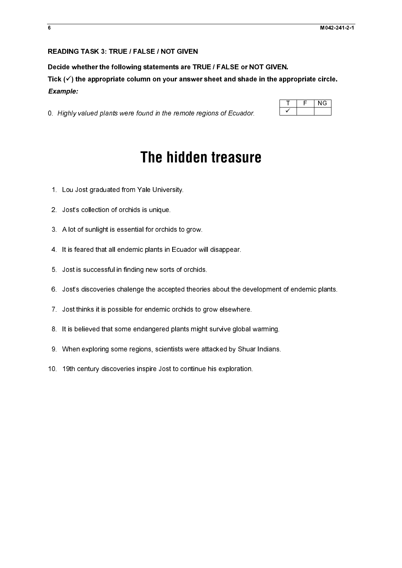# READING TASK 3: TRUE / FALSE / NOT GIVEN

Decide whether the following statements are TRUE / FALSE or NOT GIVEN.

Tick  $(\checkmark)$  the appropriate column on your answer sheet and shade in the appropriate circle. *Example:* 

0. Highly valued plants were found in the remote regions of Ecuador.

# 0. Highly valued plants were found in the remote regions of Ecuador.<br>
The hidden treasuring<br>
1. Lou Jost graduated from Yale University.<br>
2. Jost's collection of orchids is unique<br>
3. A lot of sunlight is essential for orc **The hidden treasure**

- 1. Lou Jost graduated from Yale University.
- 2. Jost's collection of orchids is unique.
- 3. A lot of sunlight is essential for orchids to grow.
- 4. It is feared that all endemic plants in Ecuador will disappear.
- 5. Jost is successful in finding new sorts of orchids.
- 6. Jost's discoveries chalenge the accepted theories about the development of endemic plants.
- 7. Jost thinks it is possible for endemic orchids to grow elsewhere.
- 8. It is believed that some endangered plants might survive global warming.
- 9. When exploring some regions, scientists were attacked by Shuar Indians.
- 10. 19th century discoveries inspire Jost to continue his exploration.

| c. | NG. |
|----|-----|
|    |     |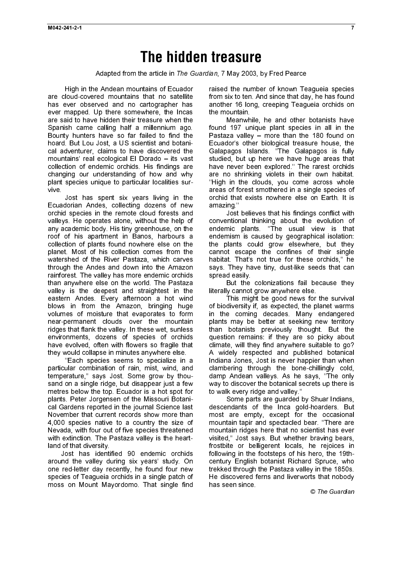# **The hidden treasure**

Adapted from the article in The Guardian, 7 May 2003, by Fred Pearce

High in the Andean mountains of Ecuador are cloud-covered mountains that no satellite has ever observed and no cartographer has ever mapped. Up there somewhere, the Incas are said to have hidden their treasure when the Spanish came calling half a millennium ago. Bounty hunters have so far failed to find the hoard. But Lou Jost, a US scientist and botanical adventurer, claims to have discovered the mountains' real ecological El Dorado – its vast collection of endemic orchids. His findings are changing our understanding of how and why plant species unique to particular localities survive.

Jost has spent six years living in the Ecuadorian Andes, collecting dozens of new orchid species in the remote cloud forests and valleys. He operates alone, without the help of any academic body. His tiny greenhouse, on the roof of his apartment in Banos, harbours a collection of plants found nowhere else on the planet. Most of his collection comes from the watershed of the River Pastaza, which carves through the Andes and down into the Amazon rainforest. The valley has more endemic orchids than anywhere else on the world. The Pastaza valley is the deepest and straightest in the eastern Andes. Every afternoon a hot wind blows in from the Amazon, bringing huge volumes of moisture that evaporates to form near-permanent clouds over the mountain ridges that flank the valley. In these wet, sunless environments, dozens of species of orchids have evolved, often with flowers so fragile that they would collapse in minutes anywhere else.

''Each species seems to specialize in a particular combination of rain, mist, wind, and temperature,'' says Jost. Some grow by thousand on a single ridge, but disappear just a few metres below the top. Ecuador is a hot spot for plants. Peter Jorgensen of the Missouri Botanical Gardens reported in the journal Science last November that current records show more than 4,000 species native to a country the size of Nevada, with four out of five species threatened with extinction. The Pastaza valley is the heartland of that diversity.

Jost has identified 90 endemic orchids around the valley during six years' study. On one red-letter day recently, he found four new species of Teagueia orchids in a single patch of moss on Mount Mayordomo. That single find

raised the number of known Teagueia species from six to ten. And since that day, he has found another 16 long, creeping Teagueia orchids on the mountain.

Meanwhile, he and other botanists have found 197 unique plant species in all in the Pastaza valley – more than the 180 found on Ecuador's other biological treasure house, the Galapagos Islands. ''The Galapagos is fully studied, but up here we have huge areas that have never been explored.'' The rarest orchids are no shrinking violets in their own habitat. ''High in the clouds, you come across whole areas of forest smothered in a single species of orchid that exists nowhere else on Earth. It is amazing.''

Jost believes that his findings conflict with conventional thinking about the evolution of endemic plants. ''The usual view is that endemism is caused by geographical isolation: the plants could grow elsewhere, but they cannot escape the confines of their single habitat. That's not true for these orchids," he says. They have tiny, dust-like seeds that can spread easily.

But the colonizations fail because they literally cannot grow anywhere else.

This might be good news for the survival of biodiversity if, as expected, the planet warms in the coming decades. Many endangered plants may be better at seeking new territory than botanists previously thought. But the question remains: if they are so picky about climate, will they find anywhere suitable to go? A widely respected and published botanical Indiana Jones, Jost is never happier than when clambering through the bone-chillingly cold, damp Andean valleys. As he says, ''The only way to discover the botanical secrets up there is to walk every ridge and valley.''

Some parts are guarded by Shuar Indians, descendants of the Inca gold-hoarders. But most are empty, except for the occasional mountain tapir and spectacled bear. ''There are mountain ridges here that no scientist has ever visited,'' Jost says. But whether braving bears, frostbite or belligerent locals, he rejoices in following in the footsteps of his hero, the 19thcentury English botanist Richard Spruce, who trekked through the Pastaza valley in the 1850s. He discovered ferns and liverworts that nobody has seen since.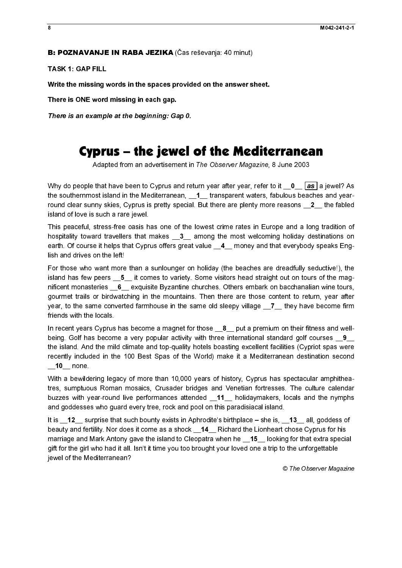TASK 1: GAP FILL

Write the missing words in the spaces provided on the answer sheet.

There is ONE word missing in each gap.

# Cyprus – the jewel of the Mediterranean

the southernmost island in the Mediterranean, 1 transparent waters, fabulous beaches and yearround clear sunny skies, Cyprus is pretty special. But there are plenty more reasons  $2$  the fabled island of love is such a rare jewel.

This peaceful, stress-free oasis has one of the lowest crime rates in Europe and a long tradition of hospitality toward travellers that makes \_\_3\_\_ among the most welcoming holiday destinations on earth. Of course it helps that Cyprus offers great value  $\_\_\_\_$  money and that everybody speaks English and drives on the left!

**B: POZNAVANJE IN RABA JEZIKA** (Čas reševanja: 40 minut)<br>TASK 1: GAP FILL<br>Write the missing words in the spaces provided on the answers<br>There is ONE word missing in each gap.<br>There is an example at the beginning: Gap 0.<br>Th There is an example at the beginning: Gap 0.<br>
Cyprus — the beginning: Gap 0.<br>
Adapted from an advertisement in<br>
MHy do people that have been to Cyprus and re<br>
the southermoost island in the Mediterranean,<br>
round clear sum Adapted from an advertisement in The Observer Magazine, 8 June 2003<br>
that have been to Cygrus and return year after year, refer to it  $\frac{0}{\sqrt{6}}$ <br>
bet lisand in the Medlerranesan,  $\frac{4}{\sqrt{6}}$  results were twatches fabil Why or people that have been to Cyprus and refer to the mystarible year, refer to it  $\frac{0}{\sqrt{10}}$  is people that have been to the people that the state  $\gamma$  and the state of summing cost summing contains and of the is se For those who want more than a sunlounger on holiday (the beaches are dreadfully seductive!), the island has few peers  $\overline{5}$  it comes to variety. Some visitors head straight out on tours of the magnificent monasteries 6 exquisite Byzantine churches. Others embark on bacchanalian wine tours, gourmet trails or birdwatching in the mountains. Then there are those content to return, year after year, to the same converted farmhouse in the same old sleepy village  $\_\,$ 7 they have become firm friends with the locals.

In recent years Cyprus has become a magnet for those  $\_\,$ 8 $\_\,$  put a premium on their fitness and wellbeing. Golf has become a very popular activity with three international standard golf courses 9 the island. And the mild climate and top-quality hotels boasting excellent facilities (Cypriot spas were recently included in the 100 Best Spas of the World) make it a Mediterranean destination second 10 none.

With a bewildering legacy of more than 10,000 years of history, Cyprus has spectacular amphitheatres, sumptuous Roman mosaics, Crusader bridges and Venetian fortresses. The culture calendar buzzes with year-round live performances attended \_\_11\_\_ holidaymakers, locals and the nymphs and goddesses who guard every tree, rock and pool on this paradisiacal island.

It is \_\_12\_\_ surprise that such bounty exists in Aphrodite's birthplace – she is, \_\_13\_\_ all, goddess of beauty and fertility. Nor does it come as a shock \_14\_ Richard the Lionheart chose Cyprus for his marriage and Mark Antony gave the island to Cleopatra when he \_\_15\_\_ looking for that extra special gift for the girl who had it all. Isn't it time you too brought your loved one a trip to the unforgettable jewel of the Mediterranean?

© The Observer Magazine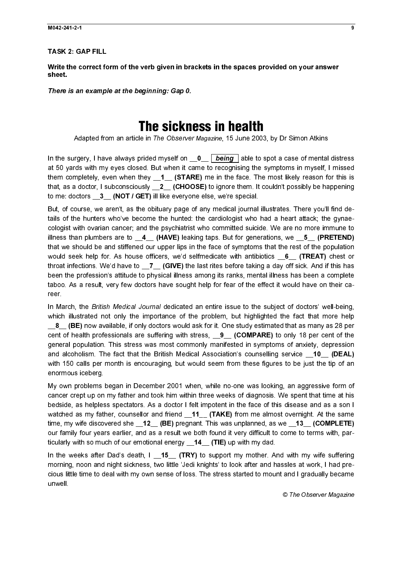TASK 2: GAP FILL

Write the correct form of the verb given in brackets in the spaces provided on your answer sheet.

There is an example at the beginning: Gap 0.

# The sickness in health

Adapted from an article in The Observer Magazine, 15 June 2003, by Dr Simon Atkins

at 50 yards with my eyes closed. But when it came to recognising the symptoms in myself, I missed them completely, even when they  $1$  (STARE) me in the face. The most likely reason for this is that, as a doctor, I subconsciously **\_\_2\_\_ (CHOOSE)** to ignore them. It couldn't possibly be happening to me: doctors 3 (NOT / GET) ill like everyone else, we're special.

There is an example at the beginning: Gap 0.<br>
The Sicknet<br>
Adapted from an article in The Observer<br>
In the surgery, I have always prided myself on<br>
at 50 yards with my eyes closed. But when it calculated<br>
then completely, In the surgery, I have a ways precise myself on  $\sim$  **Leading** lable to spot a case of mental distresses to the surgery lable to spot a case of mental distresses for the surger lable to spot a lable to spot a lable to spo But, of course, we aren't, as the obituary page of any medical journal illustrates. There you'll find details of the hunters who've become the hunted: the cardiologist who had a heart attack; the gynaecologist with ovarian cancer; and the psychiatrist who committed suicide. We are no more immune to illness than plumbers are to  $\,$  4  $\,$  (HAVE) leaking taps. But for generations, we  $\,$  5  $\,$  (PRETEND) that we should be and stiffened our upper lips in the face of symptoms that the rest of the population would seek help for. As house officers, we'd selfmedicate with antibiotics \_6\_ (TREAT) chest or throat infections. We'd have to \_\_7\_\_ (GIVE) the last rites before taking a day off sick. And if this has been the profession's attitude to physical illness among its ranks, mental illness has been a complete taboo. As a result, very few doctors have sought help for fear of the effect it would have on their career.

In March, the British Medical Journal dedicated an entire issue to the subject of doctors' well-being, which illustrated not only the importance of the problem, but highlighted the fact that more help  $\_8\_$  (BE) now available, if only doctors would ask for it. One study estimated that as many as 28 per cent of health professionals are suffering with stress,  $\qquad 9 \qquad$  (COMPARE) to only 18 per cent of the general population. This stress was most commonly manifested in symptoms of anxiety, depression and alcoholism. The fact that the British Medical Association's counselling service **10 (DEAL)** with 150 calls per month is encouraging, but would seem from these figures to be just the tip of an enormous iceberg.

My own problems began in December 2001 when, while no-one was looking, an aggressive form of cancer crept up on my father and took him within three weeks of diagnosis. We spent that time at his bedside, as helpless spectators. As a doctor I felt impotent in the face of this disease and as a son I watched as my father, counsellor and friend \_11\_ (TAKE) from me almost overnight. At the same time, my wife discovered she \_\_12\_\_ (BE) pregnant. This was unplanned, as we \_\_13\_\_ (COMPLETE) our family four years earlier, and as a result we both found it very difficult to come to terms with, particularly with so much of our emotional energy \_14\_ (TIE) up with my dad.

In the weeks after Dad's death,  $I = 15$  (TRY) to support my mother. And with my wife suffering morning, noon and night sickness, two little 'Jedi knights' to look after and hassles at work, I had precious little time to deal with my own sense of loss. The stress started to mount and I gradually became unwell.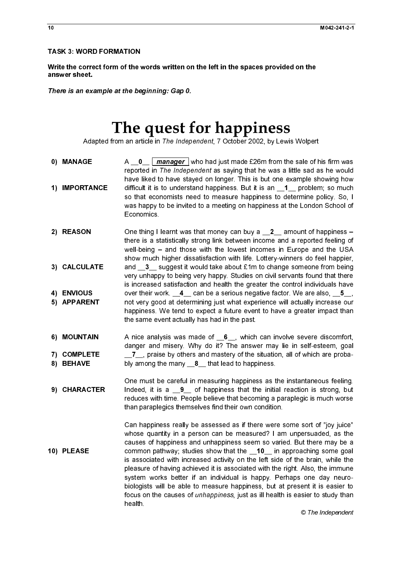# The quest for happiness

Adapted from an article in The Independent, 7 October 2002, by Lewis Wolpert

- reported in The Independent as saying that he was a little sad as he would have liked to have stayed on longer. This is but one example showing how so that economists need to measure happiness to determine policy. So, I was happy to be invited to a meeting on happiness at the London School of **Economics**
- Write the correct form of the values<br>
There is an example at the be<br>
There is an example at the be<br>
The Batter of the Velocity<br>
1) IMPORTANCE<br>
1) IMPORTANCE<br>
1) IMPORTANCE<br>
2) REASON One the well-b<br>
3) CALCULATE and wery u answer sheet.<br>
The question of the property of the correct form of the sale of the sale of the space of the space of the space of the space of the space of the space of the space of the space of the space of the space of There is an examples<br>Ada<br>
0) MANAGE<br>
1) IMPORTA<br>
2) REASON<br>
3) CALCULA<br>
4) ENVIOUS<br>
5) APPAREN<br>
6) MOUNTAI<br>
7) COMPLET<br>
8) BEHAVE<br>
9) CHARACT<br>
9) CHARACT **The quest Head of Alayted from an article in The Independent (New State Theorem and The Independent of the Beginning of the Beginning: The Beginning: Sample Cap 1.1 Controllers (Sample 1.1 Cap 1.1 Cap 1.1 Cap 1.1 Cap 1.1** 1) IMPORTA<br>
2) REASON<br>
3) CALCULA<br>
4) ENVIOUS<br>
5) APPAREN<br>
6) MOUNTAI<br>
7) COMPLET<br>
8) BEHAVE<br>
9) CHARACT<br>
10) PLEASE 2) REASON<br>
3) CALCULATE<br>
4) ENVIOUS<br>
5) APPARENT<br>
6) MOUNTAIN<br>
7) COMPLETE<br>
8) BEHAVE<br>
9) CHARACTER<br>
9) CHARACTER<br>
10) PLEASE 3) CALCULA<br>4) ENVIOUS<br>5) APPAREM<br>6) MOUNTAI<br>7) COMPLE<br>8) BEHAVE<br>9) CHARAC A  $\Lambda = \frac{1}{2}$  manager (who had just made E26m from the said of his firm was little sud as the would<br>have liked to have stayed on longer. This is but one example showing how that<br>difficult it is to understand happiness. B difficult it is to understand happiness. But it is an  $-1$ \_ problem; so much that it is an  $-1$  problem; so much shappy to be invited to a meeting on happiness at the London School of<br>Economics happy to be invited to a me One thing I learnt was that money can buy a \_<sup>2</sup>\_\_ amount of happiness –<br>One thing I learnt was that money can buy a \_<sup>2</sup>\_\_ amount of happinesing - and those with the lowest incomes in Europe and the USA show much higher there is a statistically strong link between income and a reported feeling of well-being – and those with the lowest incomes in Europe and the USA show much higher dissatisfaction with life. Lottery-winners do feel happier, very unhappy to being very happy. Studies on civil servants found that there is increased satisfaction and health the greater the control individuals have not very good at determining just what experience will actually increase our happiness. We tend to expect a future event to have a greater impact than the same event actually has had in the past.
- danger and misery. Why do it? The answer may lie in self-esteem, goal
- One must be careful in measuring happiness as the instantaneous feeling. reduces with time. People believe that becoming a paraplegic is much worse than paraplegics themselves find their own condition.
- $\frac{1}{2}$   $\overline{1}$   $\overline{1}$  4) ENVIOUS<br>5) APPARENT<br>6) MOUNTAIN<br>7) COMPLETE<br>8) BEHAVE<br>9) CHARACTER<br>10) PLEASE 5) APPAREN<br>6) MOUNTAI<br>7) COMPLET<br>8) BEHAVE<br>9) CHARACT 5) MOUNTAIN<br>T) COMPLETE<br>8) BEHAVE<br>9) CHARACTEI<br>10) PLEASE 7) COMPLETE<br>8) BEHAVE<br>9) CHARACTE<br>10) PLEASE 8) BEHAVE<br>9) CHARACTEI<br>10) PLEASE 9) CHARAC<br>9) CHARAC<br>10) PLEASE  $\frac{1}{2}$  9) PLEASE<br>10) PLEASE  $\begin{bmatrix} 1 \\ 1 \end{bmatrix}$  $\begin{bmatrix} 1 \\ 1 \\ 1 \end{bmatrix}$  $\frac{1}{2}$  $\overline{1}$  $\overline{a}$ 10) PLEASE and  $\frac{3}{2}$  suggest it would take about £1m to change someone from being  $\alpha$  or they correlar to change someone from being the moreone from being the presenced at stackoch and health the greater the control individuals over their work. <u>4</u> can be a serious negative factor. We are also, \_5\_<br>not very good at determining just what experience will actually increase our<br>happiness. We tend to expect a future event to have a greater impact than A nice analysis was made of  $\underline{6}$ , which can involve severe discomfort,<br>
danger and misery. Why do it? The answer may lie in self-esteem, goal<br>
bly among the many  $\underline{8}$ , that lead to happiness.<br>
One must be careful  $\frac{1}{2}$ , praise by others and mastery of the situation, all of which are proba-<br>bly among the many  $\underline{\mathbf{S}}$ , that lead to happiness as the instantaneous feeling,<br>Indeed, it is a  $\underline{\mathbf{9}}$  of happiness that the init bly among the many  $\_8$   $\_$  that lead to happiness.<br>One must be careful in measuring happiness as the linitiative duces with time. People believe that becoming a than paraplegics themselves find their own conditional th Indeed, it is a  $\_\_9$  of happiness that the initial reaction is strong, but<br>reduces with time. People believe that becoming a paraplegic is much worse<br>than paraplegics themselves find their own condition.<br>Can happiness r Can happiness really be assessed as if there were some sort of "joy juice" whose quantity in a person can be measured? I am unpersuaded, as the causes of happiness and unhappiness seem so varied. But there may be a common pathway; studies show that the  $\_10$  in approaching some goal<br>is associated with increased activity on the left side of the brain, while the<br>pleasure of having achieved it is associated with the right. Also, the i is associated with increased activity on the left side of the brain, while the pleasure of having achieved it is associated with the right. Also, the immune system works better if an individual is happy. Perhaps one day neurobiologists will be able to measure happiness, but at present it is easier to focus on the causes of unhappiness, just as ill health is easier to study than health.

 $\overline{10}$ 

© The Independent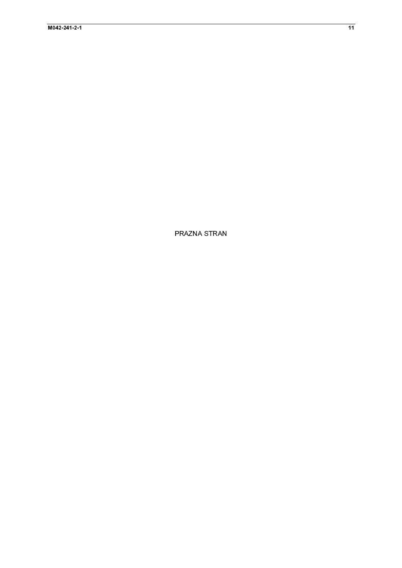PRAZNA STRAN